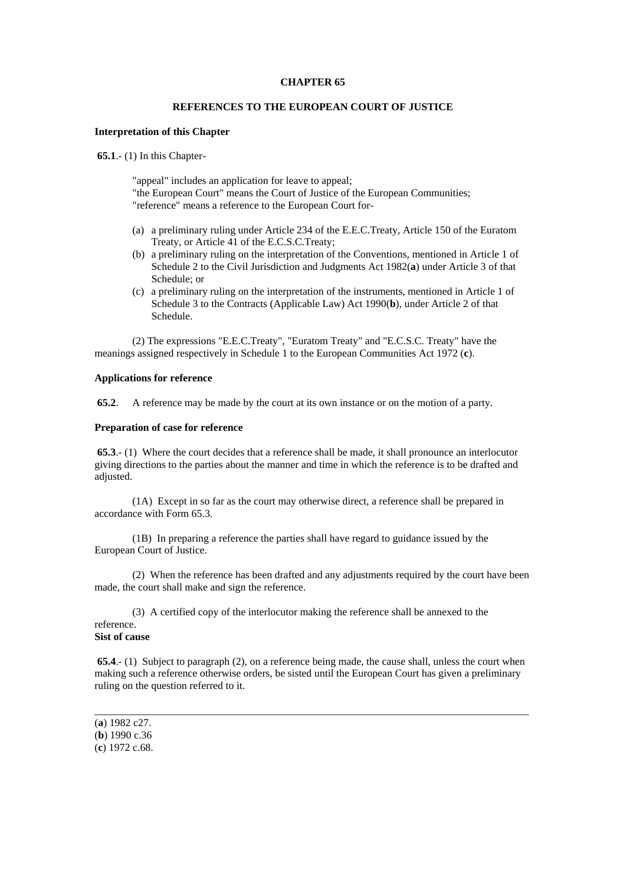#### **CHAPTER 65**

## **REFERENCES TO THE EUROPEAN COURT OF JUSTICE**

## **Interpretation of this Chapter**

**65.1**.- (1) In this Chapter-

"appeal" includes an application for leave to appeal; "the European Court" means the Court of Justice of the European Communities; "reference" means a reference to the European Court for-

- (a) a preliminary ruling under Article 234 of the E.E.C.Treaty, Article 150 of the Euratom Treaty, or Article 41 of the E.C.S.C.Treaty;
- (b) a preliminary ruling on the interpretation of the Conventions, mentioned in Article 1 of Schedule 2 to the Civil Jurisdiction and Judgments Act 1982(**a**) under Article 3 of that Schedule; or
- (c) a preliminary ruling on the interpretation of the instruments, mentioned in Article 1 of Schedule 3 to the Contracts (Applicable Law) Act 1990(**b**), under Article 2 of that Schedule.

 (2) The expressions "E.E.C.Treaty", "Euratom Treaty" and "E.C.S.C. Treaty" have the meanings assigned respectively in Schedule 1 to the European Communities Act 1972 (**c**).

## **Applications for reference**

**65.2**. A reference may be made by the court at its own instance or on the motion of a party.

#### **Preparation of case for reference**

**65.3.**- (1) Where the court decides that a reference shall be made, it shall pronounce an interlocutor giving directions to the parties about the manner and time in which the reference is to be drafted and adjusted.

 (1A) Except in so far as the court may otherwise direct, a reference shall be prepared in accordance with Form 65.3.

 (1B) In preparing a reference the parties shall have regard to guidance issued by the European Court of Justice.

 (2) When the reference has been drafted and any adjustments required by the court have been made, the court shall make and sign the reference.

 (3) A certified copy of the interlocutor making the reference shall be annexed to the reference. **Sist of cause** 

**65.4**.- (1) Subject to paragraph (2), on a reference being made, the cause shall, unless the court when making such a reference otherwise orders, be sisted until the European Court has given a preliminary ruling on the question referred to it.

\_\_\_\_\_\_\_\_\_\_\_\_\_\_\_\_\_\_\_\_\_\_\_\_\_\_\_\_\_\_\_\_\_\_\_\_\_\_\_\_\_\_\_\_\_\_\_\_\_\_\_\_\_\_\_\_\_\_\_\_\_\_\_\_\_\_\_\_\_\_\_\_\_\_\_\_\_\_\_\_\_\_

<sup>(</sup>**a**) 1982 c27.

<sup>(</sup>**b**) 1990 c.36

<sup>(</sup>**c**) 1972 c.68.